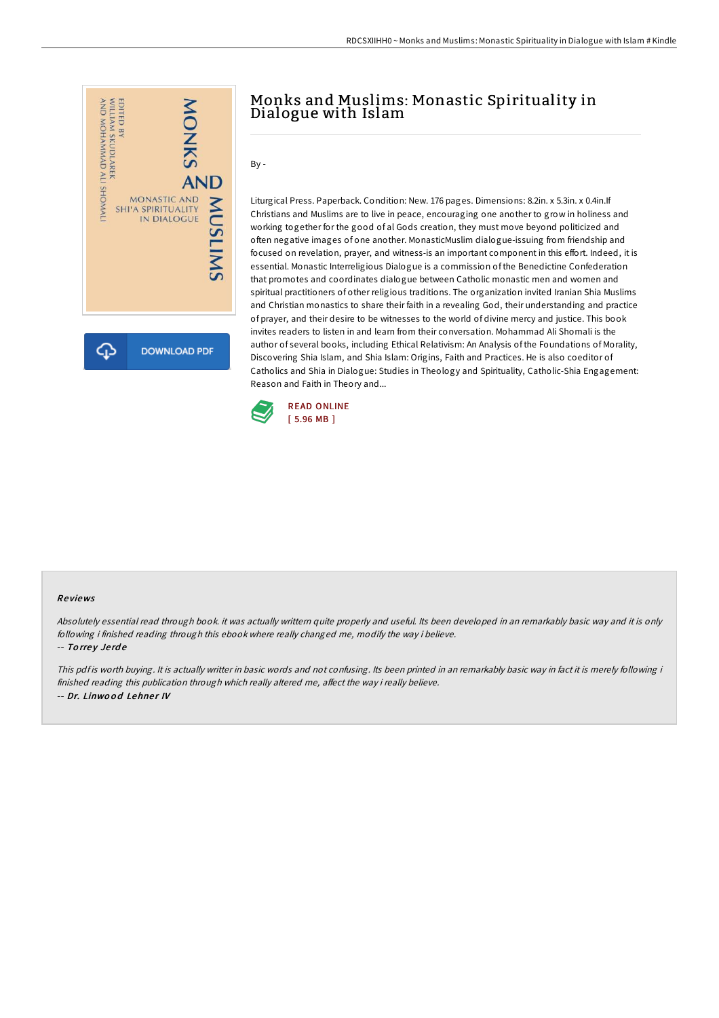

## Monks and Muslims: Monastic Spirituality in Dialogue with Islam

 $Bv -$ 

Liturgical Press. Paperback. Condition: New. 176 pages. Dimensions: 8.2in. x 5.3in. x 0.4in.If Christians and Muslims are to live in peace, encouraging one another to grow in holiness and working together for the good of al Gods creation, they must move beyond politicized and often negative images of one another. MonasticMuslim dialogue-issuing from friendship and focused on revelation, prayer, and witness-is an important component in this effort. Indeed, it is essential. Monastic Interreligious Dialogue is a commission of the Benedictine Confederation that promotes and coordinates dialogue between Catholic monastic men and women and spiritual practitioners of other religious traditions. The organization invited Iranian Shia Muslims and Christian monastics to share their faith in a revealing God, their understanding and practice of prayer, and their desire to be witnesses to the world of divine mercy and justice. This book invites readers to listen in and learn from their conversation. Mohammad Ali Shomali is the author of several books, including Ethical Relativism: An Analysis of the Foundations of Morality, Discovering Shia Islam, and Shia Islam: Origins, Faith and Practices. He is also coeditor of Catholics and Shia in Dialogue: Studies in Theology and Spirituality, Catholic-Shia Engagement: Reason and Faith in Theory and...



## Re views

Absolutely essential read through book. it was actually writtern quite properly and useful. Its been developed in an remarkably basic way and it is only following i finished reading through this ebook where really changed me, modify the way i believe. -- Torrey Jerde

This pdf is worth buying. It is actually writter in basic words and not confusing. Its been printed in an remarkably basic way in fact it is merely following i finished reading this publication through which really altered me, affect the way i really believe. -- Dr. Linwood Lehner IV